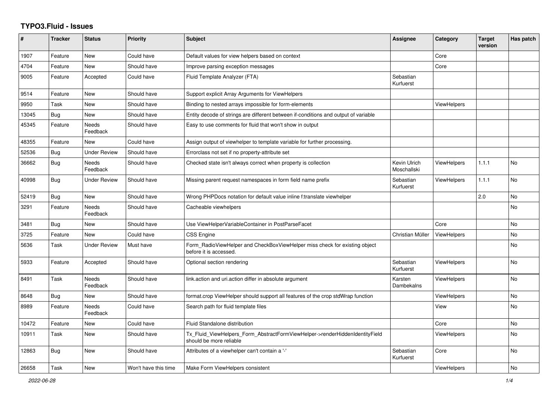## **TYPO3.Fluid - Issues**

| #     | <b>Tracker</b> | <b>Status</b>       | <b>Priority</b>      | <b>Subject</b>                                                                                         | Assignee                    | Category           | <b>Target</b><br>version | Has patch      |
|-------|----------------|---------------------|----------------------|--------------------------------------------------------------------------------------------------------|-----------------------------|--------------------|--------------------------|----------------|
| 1907  | Feature        | New                 | Could have           | Default values for view helpers based on context                                                       |                             | Core               |                          |                |
| 4704  | Feature        | New                 | Should have          | Improve parsing exception messages                                                                     |                             | Core               |                          |                |
| 9005  | Feature        | Accepted            | Could have           | Fluid Template Analyzer (FTA)                                                                          | Sebastian<br>Kurfuerst      |                    |                          |                |
| 9514  | Feature        | New                 | Should have          | Support explicit Array Arguments for ViewHelpers                                                       |                             |                    |                          |                |
| 9950  | Task           | New                 | Should have          | Binding to nested arrays impossible for form-elements                                                  |                             | ViewHelpers        |                          |                |
| 13045 | <b>Bug</b>     | New                 | Should have          | Entity decode of strings are different between if-conditions and output of variable                    |                             |                    |                          |                |
| 45345 | Feature        | Needs<br>Feedback   | Should have          | Easy to use comments for fluid that won't show in output                                               |                             |                    |                          |                |
| 48355 | Feature        | New                 | Could have           | Assign output of viewhelper to template variable for further processing.                               |                             |                    |                          |                |
| 52536 | Bug            | <b>Under Review</b> | Should have          | Errorclass not set if no property-attribute set                                                        |                             |                    |                          |                |
| 36662 | <b>Bug</b>     | Needs<br>Feedback   | Should have          | Checked state isn't always correct when property is collection                                         | Kevin Ulrich<br>Moschallski | <b>ViewHelpers</b> | 1.1.1                    | <b>No</b>      |
| 40998 | Bug            | Under Review        | Should have          | Missing parent request namespaces in form field name prefix                                            | Sebastian<br>Kurfuerst      | <b>ViewHelpers</b> | 1.1.1                    | N <sub>o</sub> |
| 52419 | Bug            | <b>New</b>          | Should have          | Wrong PHPDocs notation for default value inline f:translate viewhelper                                 |                             |                    | 2.0                      | <b>No</b>      |
| 3291  | Feature        | Needs<br>Feedback   | Should have          | Cacheable viewhelpers                                                                                  |                             |                    |                          | <b>No</b>      |
| 3481  | Bug            | <b>New</b>          | Should have          | Use ViewHelperVariableContainer in PostParseFacet                                                      |                             | Core               |                          | <b>No</b>      |
| 3725  | Feature        | New                 | Could have           | CSS Engine                                                                                             | Christian Müller            | <b>ViewHelpers</b> |                          | <b>No</b>      |
| 5636  | Task           | <b>Under Review</b> | Must have            | Form_RadioViewHelper and CheckBoxViewHelper miss check for existing object<br>before it is accessed.   |                             |                    |                          | <b>No</b>      |
| 5933  | Feature        | Accepted            | Should have          | Optional section rendering                                                                             | Sebastian<br>Kurfuerst      | <b>ViewHelpers</b> |                          | <b>No</b>      |
| 8491  | Task           | Needs<br>Feedback   | Should have          | link.action and uri.action differ in absolute argument                                                 | Karsten<br>Dambekalns       | <b>ViewHelpers</b> |                          | <b>No</b>      |
| 8648  | Bug            | New                 | Should have          | format.crop ViewHelper should support all features of the crop stdWrap function                        |                             | <b>ViewHelpers</b> |                          | <b>No</b>      |
| 8989  | Feature        | Needs<br>Feedback   | Could have           | Search path for fluid template files                                                                   |                             | View               |                          | <b>No</b>      |
| 10472 | Feature        | New                 | Could have           | Fluid Standalone distribution                                                                          |                             | Core               |                          | <b>No</b>      |
| 10911 | Task           | <b>New</b>          | Should have          | Tx_Fluid_ViewHelpers_Form_AbstractFormViewHelper->renderHiddenIdentityField<br>should be more reliable |                             | ViewHelpers        |                          | <b>No</b>      |
| 12863 | Bug            | New                 | Should have          | Attributes of a viewhelper can't contain a '-'                                                         | Sebastian<br>Kurfuerst      | Core               |                          | <b>No</b>      |
| 26658 | Task           | <b>New</b>          | Won't have this time | Make Form ViewHelpers consistent                                                                       |                             | ViewHelpers        |                          | <b>No</b>      |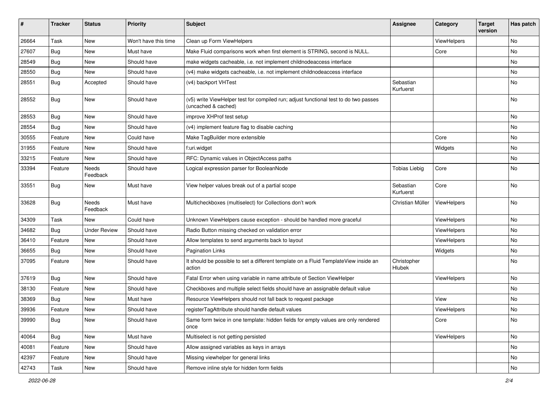| #     | <b>Tracker</b> | <b>Status</b>            | <b>Priority</b>      | <b>Subject</b>                                                                                              | Assignee               | Category    | <b>Target</b><br>version | Has patch |
|-------|----------------|--------------------------|----------------------|-------------------------------------------------------------------------------------------------------------|------------------------|-------------|--------------------------|-----------|
| 26664 | Task           | New                      | Won't have this time | Clean up Form ViewHelpers                                                                                   |                        | ViewHelpers |                          | <b>No</b> |
| 27607 | Bug            | New                      | Must have            | Make Fluid comparisons work when first element is STRING, second is NULL.                                   |                        | Core        |                          | No        |
| 28549 | Bug            | New                      | Should have          | make widgets cacheable, i.e. not implement childnodeaccess interface                                        |                        |             |                          | No        |
| 28550 | Bug            | New                      | Should have          | (v4) make widgets cacheable, i.e. not implement childnodeaccess interface                                   |                        |             |                          | No        |
| 28551 | Bug            | Accepted                 | Should have          | (v4) backport VHTest                                                                                        | Sebastian<br>Kurfuerst |             |                          | No        |
| 28552 | Bug            | New                      | Should have          | (v5) write ViewHelper test for compiled run; adjust functional test to do two passes<br>(uncached & cached) |                        |             |                          | <b>No</b> |
| 28553 | Bug            | <b>New</b>               | Should have          | improve XHProf test setup                                                                                   |                        |             |                          | No        |
| 28554 | Bug            | New                      | Should have          | (v4) implement feature flag to disable caching                                                              |                        |             |                          | No        |
| 30555 | Feature        | New                      | Could have           | Make TagBuilder more extensible                                                                             |                        | Core        |                          | No        |
| 31955 | Feature        | <b>New</b>               | Should have          | f:uri.widget                                                                                                |                        | Widgets     |                          | No        |
| 33215 | Feature        | New                      | Should have          | RFC: Dynamic values in ObjectAccess paths                                                                   |                        |             |                          | No        |
| 33394 | Feature        | <b>Needs</b><br>Feedback | Should have          | Logical expression parser for BooleanNode                                                                   | <b>Tobias Liebig</b>   | Core        |                          | <b>No</b> |
| 33551 | Bug            | New                      | Must have            | View helper values break out of a partial scope                                                             | Sebastian<br>Kurfuerst | Core        |                          | <b>No</b> |
| 33628 | Bug            | Needs<br>Feedback        | Must have            | Multicheckboxes (multiselect) for Collections don't work                                                    | Christian Müller       | ViewHelpers |                          | <b>No</b> |
| 34309 | Task           | New                      | Could have           | Unknown ViewHelpers cause exception - should be handled more graceful                                       |                        | ViewHelpers |                          | <b>No</b> |
| 34682 | Bug            | <b>Under Review</b>      | Should have          | Radio Button missing checked on validation error                                                            |                        | ViewHelpers |                          | No        |
| 36410 | Feature        | New                      | Should have          | Allow templates to send arguments back to layout                                                            |                        | ViewHelpers |                          | No        |
| 36655 | Bug            | New                      | Should have          | <b>Pagination Links</b>                                                                                     |                        | Widgets     |                          | No        |
| 37095 | Feature        | New                      | Should have          | It should be possible to set a different template on a Fluid TemplateView inside an<br>action               | Christopher<br>Hlubek  |             |                          | <b>No</b> |
| 37619 | Bug            | New                      | Should have          | Fatal Error when using variable in name attribute of Section ViewHelper                                     |                        | ViewHelpers |                          | No        |
| 38130 | Feature        | New                      | Should have          | Checkboxes and multiple select fields should have an assignable default value                               |                        |             |                          | No        |
| 38369 | Bug            | New                      | Must have            | Resource ViewHelpers should not fall back to request package                                                |                        | View        |                          | No        |
| 39936 | Feature        | New                      | Should have          | registerTagAttribute should handle default values                                                           |                        | ViewHelpers |                          | No        |
| 39990 | <b>Bug</b>     | New                      | Should have          | Same form twice in one template: hidden fields for empty values are only rendered<br>once                   |                        | Core        |                          | No        |
| 40064 | <b>Bug</b>     | New                      | Must have            | Multiselect is not getting persisted                                                                        |                        | ViewHelpers |                          | No        |
| 40081 | Feature        | New                      | Should have          | Allow assigned variables as keys in arrays                                                                  |                        |             |                          | No        |
| 42397 | Feature        | New                      | Should have          | Missing viewhelper for general links                                                                        |                        |             |                          | No        |
| 42743 | Task           | New                      | Should have          | Remove inline style for hidden form fields                                                                  |                        |             |                          | No        |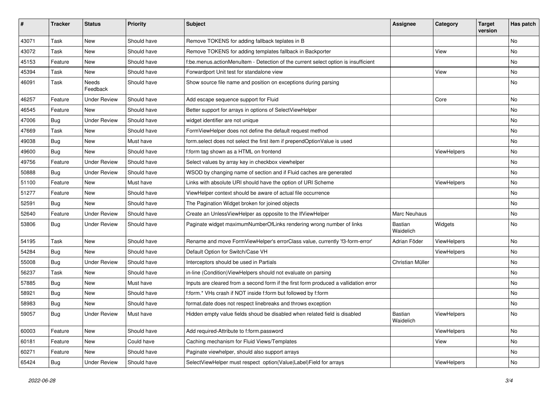| #     | <b>Tracker</b> | <b>Status</b>       | <b>Priority</b> | Subject                                                                              | <b>Assignee</b>      | Category    | <b>Target</b><br>version | Has patch |
|-------|----------------|---------------------|-----------------|--------------------------------------------------------------------------------------|----------------------|-------------|--------------------------|-----------|
| 43071 | Task           | New                 | Should have     | Remove TOKENS for adding fallback teplates in B                                      |                      |             |                          | <b>No</b> |
| 43072 | Task           | New                 | Should have     | Remove TOKENS for adding templates fallback in Backporter                            |                      | View        |                          | No        |
| 45153 | Feature        | New                 | Should have     | f:be.menus.actionMenuItem - Detection of the current select option is insufficient   |                      |             |                          | No        |
| 45394 | Task           | New                 | Should have     | Forwardport Unit test for standalone view                                            |                      | View        |                          | No        |
| 46091 | Task           | Needs<br>Feedback   | Should have     | Show source file name and position on exceptions during parsing                      |                      |             |                          | No        |
| 46257 | Feature        | <b>Under Review</b> | Should have     | Add escape sequence support for Fluid                                                |                      | Core        |                          | No        |
| 46545 | Feature        | New                 | Should have     | Better support for arrays in options of SelectViewHelper                             |                      |             |                          | No        |
| 47006 | Bug            | <b>Under Review</b> | Should have     | widget identifier are not unique                                                     |                      |             |                          | No        |
| 47669 | Task           | New                 | Should have     | FormViewHelper does not define the default request method                            |                      |             |                          | No        |
| 49038 | Bug            | <b>New</b>          | Must have       | form.select does not select the first item if prependOptionValue is used             |                      |             |                          | <b>No</b> |
| 49600 | Bug            | New                 | Should have     | f:form tag shown as a HTML on frontend                                               |                      | ViewHelpers |                          | No        |
| 49756 | Feature        | <b>Under Review</b> | Should have     | Select values by array key in checkbox viewhelper                                    |                      |             |                          | No        |
| 50888 | Bug            | <b>Under Review</b> | Should have     | WSOD by changing name of section and if Fluid caches are generated                   |                      |             |                          | No        |
| 51100 | Feature        | New                 | Must have       | Links with absolute URI should have the option of URI Scheme                         |                      | ViewHelpers |                          | No        |
| 51277 | Feature        | New                 | Should have     | ViewHelper context should be aware of actual file occurrence                         |                      |             |                          | No        |
| 52591 | Bug            | New                 | Should have     | The Pagination Widget broken for joined objects                                      |                      |             |                          | No        |
| 52640 | Feature        | <b>Under Review</b> | Should have     | Create an UnlessViewHelper as opposite to the IfViewHelper                           | Marc Neuhaus         |             |                          | No        |
| 53806 | Bug            | <b>Under Review</b> | Should have     | Paginate widget maximumNumberOfLinks rendering wrong number of links                 | Bastian<br>Waidelich | Widgets     |                          | No        |
| 54195 | Task           | New                 | Should have     | Rename and move FormViewHelper's errorClass value, currently 'f3-form-error'         | Adrian Föder         | ViewHelpers |                          | No        |
| 54284 | Bug            | New                 | Should have     | Default Option for Switch/Case VH                                                    |                      | ViewHelpers |                          | No        |
| 55008 | <b>Bug</b>     | <b>Under Review</b> | Should have     | Interceptors should be used in Partials                                              | Christian Müller     |             |                          | No        |
| 56237 | Task           | New                 | Should have     | in-line (Condition) View Helpers should not evaluate on parsing                      |                      |             |                          | No        |
| 57885 | Bug            | New                 | Must have       | Inputs are cleared from a second form if the first form produced a vallidation error |                      |             |                          | No        |
| 58921 | Bug            | New                 | Should have     | f:form.* VHs crash if NOT inside f:form but followed by f:form                       |                      |             |                          | <b>No</b> |
| 58983 | <b>Bug</b>     | New                 | Should have     | format.date does not respect linebreaks and throws exception                         |                      |             |                          | No        |
| 59057 | Bug            | <b>Under Review</b> | Must have       | Hidden empty value fields shoud be disabled when related field is disabled           | Bastian<br>Waidelich | ViewHelpers |                          | No        |
| 60003 | Feature        | New                 | Should have     | Add required-Attribute to f:form.password                                            |                      | ViewHelpers |                          | No        |
| 60181 | Feature        | New                 | Could have      | Caching mechanism for Fluid Views/Templates                                          |                      | View        |                          | No        |
| 60271 | Feature        | New                 | Should have     | Paginate viewhelper, should also support arrays                                      |                      |             |                          | No        |
| 65424 | <b>Bug</b>     | <b>Under Review</b> | Should have     | SelectViewHelper must respect option(Value Label)Field for arrays                    |                      | ViewHelpers |                          | No        |